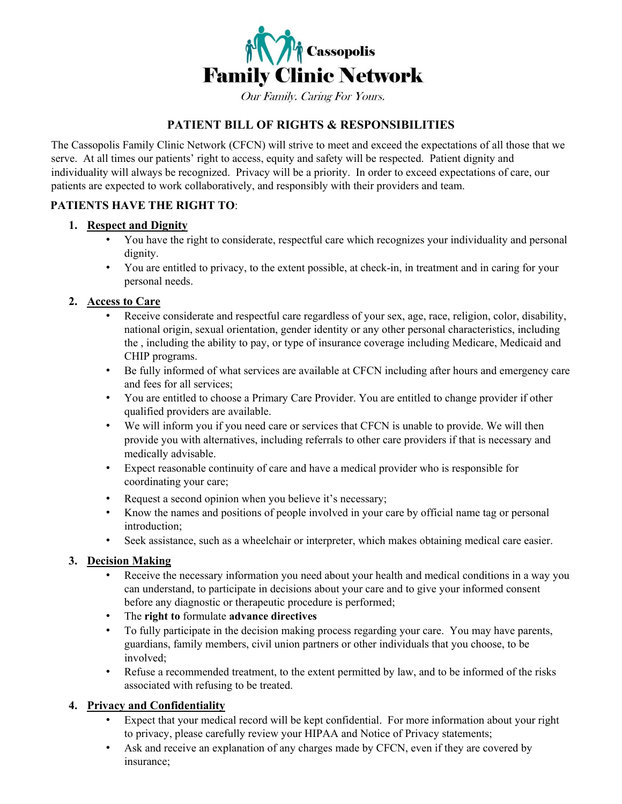

Our Family. Caring For Yours.

### **PATIENT BILL OF RIGHTS & RESPONSIBILITIES**

The Cassopolis Family Clinic Network (CFCN) will strive to meet and exceed the expectations of all those that we serve. At all times our patients' right to access, equity and safety will be respected. Patient dignity and individuality will always be recognized. Privacy will be a priority. In order to exceed expectations of care, our patients are expected to work collaboratively, and responsibly with their providers and team.

#### **PATIENTS HAVE THE RIGHT TO**:

#### **1. Respect and Dignity**

- You have the right to considerate, respectful care which recognizes your individuality and personal dignity.
- You are entitled to privacy, to the extent possible, at check-in, in treatment and in caring for your personal needs.

#### **2. Access to Care**

- Receive considerate and respectful care regardless of your sex, age, race, religion, color, disability, national origin, sexual orientation, gender identity or any other personal characteristics, including the , including the ability to pay, or type of insurance coverage including Medicare, Medicaid and CHIP programs.
- Be fully informed of what services are available at CFCN including after hours and emergency care and fees for all services;
- You are entitled to choose a Primary Care Provider. You are entitled to change provider if other qualified providers are available.
- We will inform you if you need care or services that CFCN is unable to provide. We will then provide you with alternatives, including referrals to other care providers if that is necessary and medically advisable.
- Expect reasonable continuity of care and have a medical provider who is responsible for coordinating your care;
- Request a second opinion when you believe it's necessary;
- Know the names and positions of people involved in your care by official name tag or personal introduction;
- Seek assistance, such as a wheelchair or interpreter, which makes obtaining medical care easier.

#### **3. Decision Making**

- Receive the necessary information you need about your health and medical conditions in a way you can understand, to participate in decisions about your care and to give your informed consent before any diagnostic or therapeutic procedure is performed;
- The **right to** formulate **advance directives**
- To fully participate in the decision making process regarding your care. You may have parents, guardians, family members, civil union partners or other individuals that you choose, to be involved;
- Refuse a recommended treatment, to the extent permitted by law, and to be informed of the risks associated with refusing to be treated.

#### **4. Privacy and Confidentiality**

- Expect that your medical record will be kept confidential. For more information about your right to privacy, please carefully review your HIPAA and Notice of Privacy statements;
- Ask and receive an explanation of any charges made by CFCN, even if they are covered by insurance;